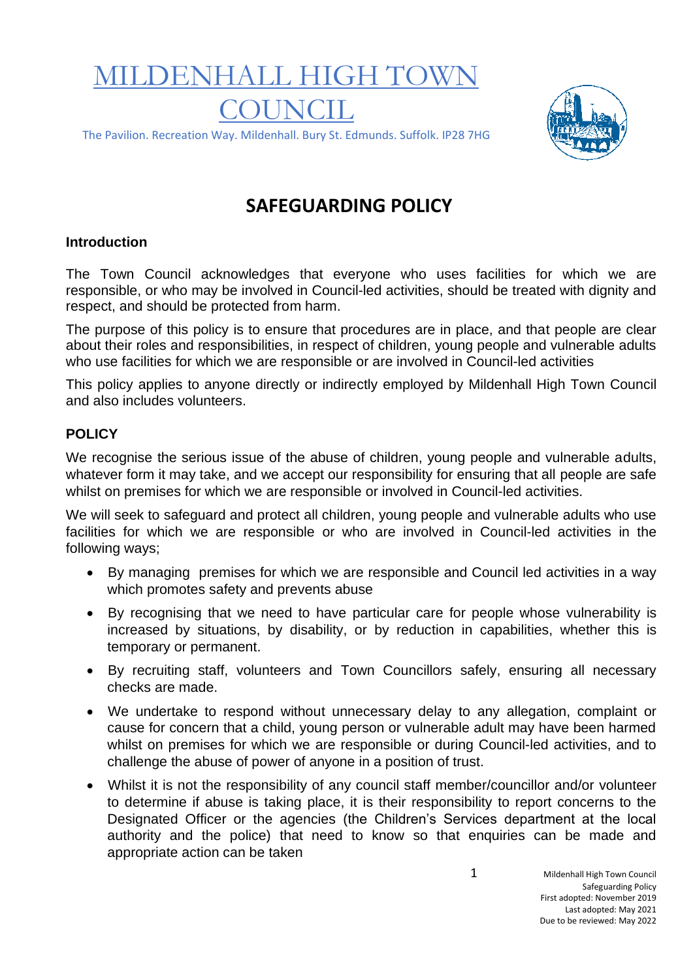# MILDENHALL HIGH TOW **COUNCIL**



#### The Pavilion. Recreation Way. Mildenhall. Bury St. Edmunds. Suffolk. IP28 7HG

# **SAFEGUARDING POLICY**

## **Introduction**

The Town Council acknowledges that everyone who uses facilities for which we are responsible, or who may be involved in Council-led activities, should be treated with dignity and respect, and should be protected from harm.

The purpose of this policy is to ensure that procedures are in place, and that people are clear about their roles and responsibilities, in respect of children, young people and vulnerable adults who use facilities for which we are responsible or are involved in Council-led activities

This policy applies to anyone directly or indirectly employed by Mildenhall High Town Council and also includes volunteers.

### **POLICY**

We recognise the serious issue of the abuse of children, young people and vulnerable adults, whatever form it may take, and we accept our responsibility for ensuring that all people are safe whilst on premises for which we are responsible or involved in Council-led activities.

We will seek to safeguard and protect all children, young people and vulnerable adults who use facilities for which we are responsible or who are involved in Council-led activities in the following ways;

- By managing premises for which we are responsible and Council led activities in a way which promotes safety and prevents abuse
- By recognising that we need to have particular care for people whose vulnerability is increased by situations, by disability, or by reduction in capabilities, whether this is temporary or permanent.
- By recruiting staff, volunteers and Town Councillors safely, ensuring all necessary checks are made.
- We undertake to respond without unnecessary delay to any allegation, complaint or cause for concern that a child, young person or vulnerable adult may have been harmed whilst on premises for which we are responsible or during Council-led activities, and to challenge the abuse of power of anyone in a position of trust.
- Whilst it is not the responsibility of any council staff member/councillor and/or volunteer to determine if abuse is taking place, it is their responsibility to report concerns to the Designated Officer or the agencies (the Children's Services department at the local authority and the police) that need to know so that enquiries can be made and appropriate action can be taken